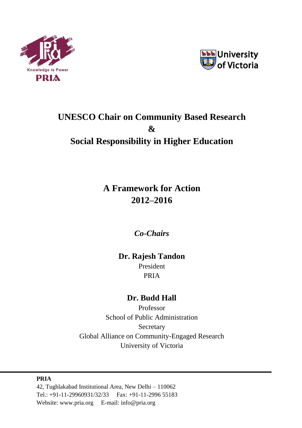



# **UNESCO Chair on Community Based Research & Social Responsibility in Higher Education**

# **A Framework for Action 2012–2016**

*Co-Chairs*

## **Dr. Rajesh Tandon**

President PRIA

## **Dr. Budd Hall**

Professor School of Public Administration Secretary Global Alliance on Community-Engaged Research University of Victoria

**PRIA** 42, Tughlakabad Institutional Area, New Delhi – 110062 Tel.: +91-11-29960931/32/33 Fax: +91-11-2996 55183 Website: [www.pria.org](http://www.pria.org/) E-mail: info@pria.org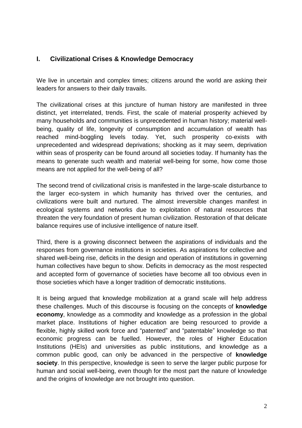#### **I. Civilizational Crises & Knowledge Democracy**

We live in uncertain and complex times; citizens around the world are asking their leaders for answers to their daily travails.

The civilizational crises at this juncture of human history are manifested in three distinct, yet interrelated, trends. First, the scale of material prosperity achieved by many households and communities is unprecedented in human history; material wellbeing, quality of life, longevity of consumption and accumulation of wealth has reached mind-boggling levels today. Yet, such prosperity co-exists with unprecedented and widespread deprivations; shocking as it may seem, deprivation within seas of prosperity can be found around all societies today. If humanity has the means to generate such wealth and material well-being for some, how come those means are not applied for the well-being of all?

The second trend of civilizational crisis is manifested in the large-scale disturbance to the larger eco-system in which humanity has thrived over the centuries, and civilizations were built and nurtured. The almost irreversible changes manifest in ecological systems and networks due to exploitation of natural resources that threaten the very foundation of present human civilization. Restoration of that delicate balance requires use of inclusive intelligence of nature itself.

Third, there is a growing disconnect between the aspirations of individuals and the responses from governance institutions in societies. As aspirations for collective and shared well-being rise, deficits in the design and operation of institutions in governing human collectives have begun to show. Deficits in democracy as the most respected and accepted form of governance of societies have become all too obvious even in those societies which have a longer tradition of democratic institutions.

It is being argued that knowledge mobilization at a grand scale will help address these challenges. Much of this discourse is focusing on the concepts of **knowledge economy**, knowledge as a commodity and knowledge as a profession in the global market place. Institutions of higher education are being resourced to provide a flexible, highly skilled work force and "patented" and "patentable" knowledge so that economic progress can be fuelled. However, the roles of Higher Education Institutions (HEIs) and universities as public institutions, and knowledge as a common public good, can only be advanced in the perspective of **knowledge society**. In this perspective, knowledge is seen to serve the larger public purpose for human and social well-being, even though for the most part the nature of knowledge and the origins of knowledge are not brought into question.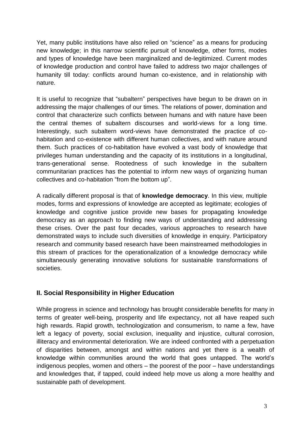Yet, many public institutions have also relied on "science" as a means for producing new knowledge; in this narrow scientific pursuit of knowledge, other forms, modes and types of knowledge have been marginalized and de-legitimized. Current modes of knowledge production and control have failed to address two major challenges of humanity till today: conflicts around human co-existence, and in relationship with nature.

It is useful to recognize that "subaltern" perspectives have begun to be drawn on in addressing the major challenges of our times. The relations of power, domination and control that characterize such conflicts between humans and with nature have been the central themes of subaltern discourses and world-views for a long time. Interestingly, such subaltern word-views have demonstrated the practice of cohabitation and co-existence with different human collectives, and with nature around them. Such practices of co-habitation have evolved a vast body of knowledge that privileges human understanding and the capacity of its institutions in a longitudinal, trans-generational sense. Rootedness of such knowledge in the subaltern communitarian practices has the potential to inform new ways of organizing human collectives and co-habitation "from the bottom up".

A radically different proposal is that of **knowledge democracy**. In this view, multiple modes, forms and expressions of knowledge are accepted as legitimate; ecologies of knowledge and cognitive justice provide new bases for propagating knowledge democracy as an approach to finding new ways of understanding and addressing these crises. Over the past four decades, various approaches to research have demonstrated ways to include such diversities of knowledge in enquiry. Participatory research and community based research have been mainstreamed methodologies in this stream of practices for the operationalization of a knowledge democracy while simultaneously generating innovative solutions for sustainable transformations of societies.

### **II. Social Responsibility in Higher Education**

While progress in science and technology has brought considerable benefits for many in terms of greater well-being, prosperity and life expectancy, not all have reaped such high rewards. Rapid growth, technologization and consumerism, to name a few, have left a legacy of poverty, social exclusion, inequality and injustice, cultural corrosion, illiteracy and environmental deterioration. We are indeed confronted with a perpetuation of disparities between, amongst and within nations and yet there is a wealth of knowledge within communities around the world that goes untapped. The world's indigenous peoples, women and others – the poorest of the poor – have understandings and knowledges that, if tapped, could indeed help move us along a more healthy and sustainable path of development.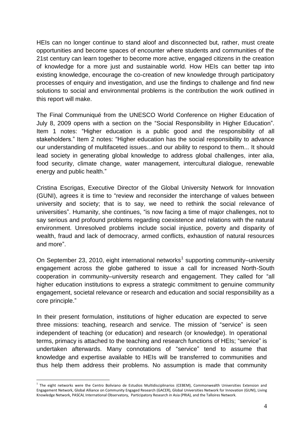HEIs can no longer continue to stand aloof and disconnected but, rather, must create opportunities and become spaces of encounter where students and communities of the 21st century can learn together to become more active, engaged citizens in the creation of knowledge for a more just and sustainable world. How HEIs can better tap into existing knowledge, encourage the co-creation of new knowledge through participatory processes of enquiry and investigation, and use the findings to challenge and find new solutions to social and environmental problems is the contribution the work outlined in this report will make.

The Final Communiqué from the UNESCO World Conference on Higher Education of July 8, 2009 opens with a section on the "Social Responsibility in Higher Education". Item 1 notes: "Higher education is a public good and the responsibility of all stakeholders." Item 2 notes: "Higher education has the social responsibility to advance our understanding of multifaceted issues...and our ability to respond to them... It should lead society in generating global knowledge to address global challenges, inter alia, food security, climate change, water management, intercultural dialogue, renewable energy and public health."

Cristina Escrigas, Executive Director of the Global University Network for Innovation (GUNI), agrees it is time to "review and reconsider the interchange of values between university and society; that is to say, we need to rethink the social relevance of universities". Humanity, she continues, "is now facing a time of major challenges, not to say serious and profound problems regarding coexistence and relations with the natural environment. Unresolved problems include social injustice, poverty and disparity of wealth, fraud and lack of democracy, armed conflicts, exhaustion of natural resources and more".

On September 23, 2010, eight international networks<sup>1</sup> supporting community–university engagement across the globe gathered to issue a call for increased North-South cooperation in community–university research and engagement. They called for "all higher education institutions to express a strategic commitment to genuine community engagement, societal relevance or research and education and social responsibility as a core principle."

In their present formulation, institutions of higher education are expected to serve three missions: teaching, research and service. The mission of "service" is seen independent of teaching (or education) and research (or knowledge). In operational terms, primacy is attached to the teaching and research functions of HEIs; "service" is undertaken afterwards. Many connotations of "service" tend to assume that knowledge and expertise available to HEIs will be transferred to communities and thus help them address their problems. No assumption is made that community

<u>.</u>

<sup>&</sup>lt;sup>1</sup> The eight networks were the Centro Boliviano de Estudios Multidisciplinarios (CEBEM), Commonwealth Universities Extension and Engagement Network, Global Alliance on Community Engaged Research (GACER), Global Universities Network for Innovation (GUNI), Living Knowledge Network, PASCAL International Observatory, Participatory Research in Asia (PRIA), and the Talloires Network.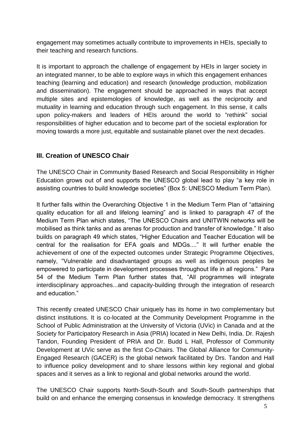engagement may sometimes actually contribute to improvements in HEIs, specially to their teaching and research functions.

It is important to approach the challenge of engagement by HEIs in larger society in an integrated manner, to be able to explore ways in which this engagement enhances teaching (learning and education) and research (knowledge production, mobilization and dissemination). The engagement should be approached in ways that accept multiple sites and epistemologies of knowledge, as well as the reciprocity and mutuality in learning and education through such engagement. In this sense, it calls upon policy-makers and leaders of HEIs around the world to "rethink" social responsibilities of higher education and to become part of the societal exploration for moving towards a more just, equitable and sustainable planet over the next decades.

### **III. Creation of UNESCO Chair**

The UNESCO Chair in Community Based Research and Social Responsibility in Higher Education grows out of and supports the UNESCO global lead to play "a key role in assisting countries to build knowledge societies" (Box 5: UNESCO Medium Term Plan).

It further falls within the Overarching Objective 1 in the Medium Term Plan of "attaining quality education for all and lifelong learning" and is linked to paragraph 47 of the Medium Term Plan which states, "The UNESCO Chairs and UNITWIN networks will be mobilised as think tanks and as arenas for production and transfer of knowledge." It also builds on paragraph 49 which states, "Higher Education and Teacher Education will be central for the realisation for EFA goals and MDGs...." It will further enable the achievement of one of the expected outcomes under Strategic Programme Objectives, namely, "Vulnerable and disadvantaged groups as well as indigenous peoples be empowered to participate in development processes throughout life in all regions." Para 54 of the Medium Term Plan further states that, "All programmes will integrate interdisciplinary approaches...and capacity-building through the integration of research and education."

This recently created UNESCO Chair uniquely has its home in two complementary but distinct institutions. It is co-located at the Community Development Programme in the School of Public Administration at the University of Victoria (UVic) in Canada and at the Society for Participatory Research in Asia (PRIA) located in New Delhi, India. Dr. Rajesh Tandon, Founding President of PRIA and Dr. Budd L Hall, Professor of Community Development at UVic serve as the first Co-Chairs. The Global Alliance for Community-Engaged Research (GACER) is the global network facilitated by Drs. Tandon and Hall to influence policy development and to share lessons within key regional and global spaces and it serves as a link to regional and global networks around the world.

The UNESCO Chair supports North-South-South and South-South partnerships that build on and enhance the emerging consensus in knowledge democracy. It strengthens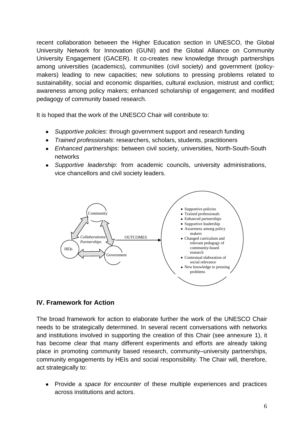recent collaboration between the Higher Education section in UNESCO, the Global University Network for Innovation (GUNI) and the Global Alliance on Community University Engagement (GACER). It co-creates new knowledge through partnerships among universities (academics), communities (civil society) and government (policymakers) leading to new capacities; new solutions to pressing problems related to sustainability, social and economic disparities, cultural exclusion, mistrust and conflict; awareness among policy makers; enhanced scholarship of engagement; and modified pedagogy of community based research.

It is hoped that the work of the UNESCO Chair will contribute to:

- *Supportive policies*: through government support and research funding
- *Trained professionals*: researchers, scholars, students, practitioners
- *Enhanced partnerships*: between civil society, universities, North-South-South networks
- *Supportive leadership*: from academic councils, university administrations, vice chancellors and civil society leaders.



#### **IV. Framework for Action**

The broad framework for action to elaborate further the work of the UNESCO Chair needs to be strategically determined. In several recent conversations with networks and institutions involved in supporting the creation of this Chair (see annexure 1), it has become clear that many different experiments and efforts are already taking place in promoting community based research, community–university partnerships, community engagements by HEIs and social responsibility. The Chair will, therefore, act strategically to:

Provide a *space for encounter* of these multiple experiences and practices across institutions and actors.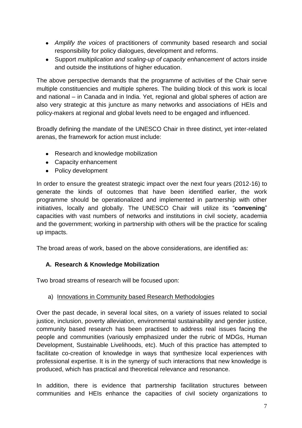- *Amplify the voices* of practitioners of community based research and social responsibility for policy dialogues, development and reforms.
- Support *multiplication and scaling-up of capacity enhancement* of actors inside and outside the institutions of higher education.

The above perspective demands that the programme of activities of the Chair serve multiple constituencies and multiple spheres. The building block of this work is local and national – in Canada and in India. Yet, regional and global spheres of action are also very strategic at this juncture as many networks and associations of HEIs and policy-makers at regional and global levels need to be engaged and influenced.

Broadly defining the mandate of the UNESCO Chair in three distinct, yet inter-related arenas, the framework for action must include:

- Research and knowledge mobilization
- Capacity enhancement
- Policy development

In order to ensure the greatest strategic impact over the next four years (2012-16) to generate the kinds of outcomes that have been identified earlier, the work programme should be operationalized and implemented in partnership with other initiatives, locally and globally. The UNESCO Chair will utilize its "**convening**" capacities with vast numbers of networks and institutions in civil society, academia and the government; working in partnership with others will be the practice for scaling up impacts.

The broad areas of work, based on the above considerations, are identified as:

#### **A. Research & Knowledge Mobilization**

Two broad streams of research will be focused upon:

#### a) Innovations in Community based Research Methodologies

Over the past decade, in several local sites, on a variety of issues related to social justice, inclusion, poverty alleviation, environmental sustainability and gender justice, community based research has been practised to address real issues facing the people and communities (variously emphasized under the rubric of MDGs, Human Development, Sustainable Livelihoods, etc). Much of this practice has attempted to facilitate co-creation of knowledge in ways that synthesize local experiences with professional expertise. It is in the synergy of such interactions that new knowledge is produced, which has practical and theoretical relevance and resonance.

In addition, there is evidence that partnership facilitation structures between communities and HEIs enhance the capacities of civil society organizations to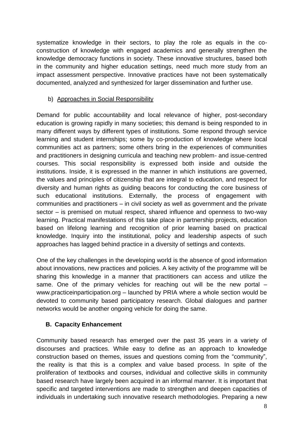systematize knowledge in their sectors, to play the role as equals in the coconstruction of knowledge with engaged academics and generally strengthen the knowledge democracy functions in society. These innovative structures, based both in the community and higher education settings, need much more study from an impact assessment perspective. Innovative practices have not been systematically documented, analyzed and synthesized for larger dissemination and further use.

#### b) Approaches in Social Responsibility

Demand for public accountability and local relevance of higher, post-secondary education is growing rapidly in many societies; this demand is being responded to in many different ways by different types of institutions. Some respond through service learning and student internships; some by co-production of knowledge where local communities act as partners; some others bring in the experiences of communities and practitioners in designing curricula and teaching new problem- and issue-centred courses. This social responsibility is expressed both inside and outside the institutions. Inside, it is expressed in the manner in which institutions are governed, the values and principles of citizenship that are integral to education, and respect for diversity and human rights as guiding beacons for conducting the core business of such educational institutions. Externally, the process of engagement with communities and practitioners – in civil society as well as government and the private sector – is premised on mutual respect, shared influence and openness to two-way learning. Practical manifestations of this take place in partnership projects, education based on lifelong learning and recognition of prior learning based on practical knowledge. Inquiry into the institutional, policy and leadership aspects of such approaches has lagged behind practice in a diversity of settings and contexts.

One of the key challenges in the developing world is the absence of good information about innovations, new practices and policies. A key activity of the programme will be sharing this knowledge in a manner that practitioners can access and utilize the same. One of the primary vehicles for reaching out will be the new portal – www.practiceinparticipation.org – launched by PRIA where a whole section would be devoted to community based participatory research. Global dialogues and partner networks would be another ongoing vehicle for doing the same.

#### **B. Capacity Enhancement**

Community based research has emerged over the past 35 years in a variety of discourses and practices. While easy to define as an approach to knowledge construction based on themes, issues and questions coming from the "community", the reality is that this is a complex and value based process. In spite of the proliferation of textbooks and courses, individual and collective skills in community based research have largely been acquired in an informal manner. It is important that specific and targeted interventions are made to strengthen and deepen capacities of individuals in undertaking such innovative research methodologies. Preparing a new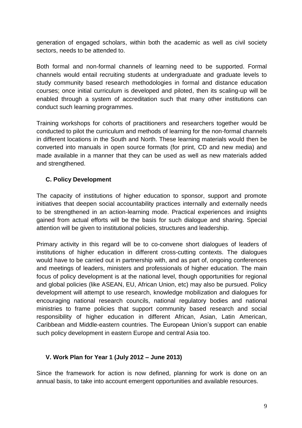generation of engaged scholars, within both the academic as well as civil society sectors, needs to be attended to.

Both formal and non-formal channels of learning need to be supported. Formal channels would entail recruiting students at undergraduate and graduate levels to study community based research methodologies in formal and distance education courses; once initial curriculum is developed and piloted, then its scaling-up will be enabled through a system of accreditation such that many other institutions can conduct such learning programmes.

Training workshops for cohorts of practitioners and researchers together would be conducted to pilot the curriculum and methods of learning for the non-formal channels in different locations in the South and North. These learning materials would then be converted into manuals in open source formats (for print, CD and new media) and made available in a manner that they can be used as well as new materials added and strengthened.

#### **C. Policy Development**

The capacity of institutions of higher education to sponsor, support and promote initiatives that deepen social accountability practices internally and externally needs to be strengthened in an action-learning mode. Practical experiences and insights gained from actual efforts will be the basis for such dialogue and sharing. Special attention will be given to institutional policies, structures and leadership.

Primary activity in this regard will be to co-convene short dialogues of leaders of institutions of higher education in different cross-cutting contexts. The dialogues would have to be carried out in partnership with, and as part of, ongoing conferences and meetings of leaders, ministers and professionals of higher education. The main focus of policy development is at the national level, though opportunities for regional and global policies (like ASEAN, EU, African Union, etc) may also be pursued. Policy development will attempt to use research, knowledge mobilization and dialogues for encouraging national research councils, national regulatory bodies and national ministries to frame policies that support community based research and social responsibility of higher education in different African, Asian, Latin American, Caribbean and Middle-eastern countries. The European Union's support can enable such policy development in eastern Europe and central Asia too.

#### **V. Work Plan for Year 1 (July 2012 – June 2013)**

Since the framework for action is now defined, planning for work is done on an annual basis, to take into account emergent opportunities and available resources.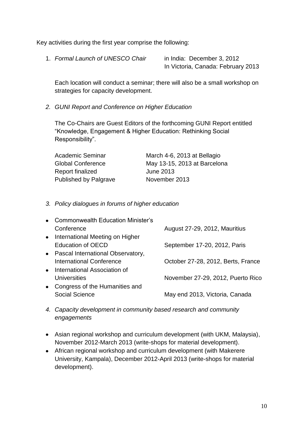Key activities during the first year comprise the following:

1. *Formal Launch of UNESCO Chair* in India: December 3, 2012

In Victoria, Canada: February 2013

Each location will conduct a seminar; there will also be a small workshop on strategies for capacity development.

*2. GUNI Report and Conference on Higher Education*

The Co-Chairs are Guest Editors of the forthcoming GUNI Report entitled "Knowledge, Engagement & Higher Education: Rethinking Social Responsibility".

| Academic Seminar             | March 4-6, 2013 at Bellagio  |
|------------------------------|------------------------------|
| <b>Global Conference</b>     | May 13-15, 2013 at Barcelona |
| Report finalized             | June 2013                    |
| <b>Published by Palgrave</b> | November 2013                |

*3. Policy dialogues in forums of higher education*

| $\bullet$ | <b>Commonwealth Education Minister's</b> |                                    |
|-----------|------------------------------------------|------------------------------------|
|           | Conference                               | August 27-29, 2012, Mauritius      |
|           | • International Meeting on Higher        |                                    |
|           | <b>Education of OECD</b>                 | September 17-20, 2012, Paris       |
|           | • Pascal International Observatory,      |                                    |
|           | <b>International Conference</b>          | October 27-28, 2012, Berts, France |
|           | • International Association of           |                                    |
|           | <b>Universities</b>                      | November 27-29, 2012, Puerto Rico  |
| $\bullet$ | Congress of the Humanities and           |                                    |
|           | <b>Social Science</b>                    | May end 2013, Victoria, Canada     |
|           |                                          |                                    |

- *4. Capacity development in community based research and community engagements*
- Asian regional workshop and curriculum development (with UKM, Malaysia), November 2012-March 2013 (write-shops for material development).
- African regional workshop and curriculum development (with Makerere University, Kampala), December 2012-April 2013 (write-shops for material development).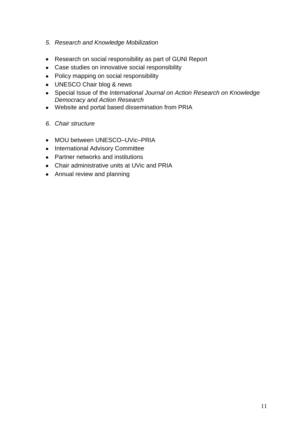- *5. Research and Knowledge Mobilization*
- Research on social responsibility as part of GUNI Report
- Case studies on innovative social responsibility
- Policy mapping on social responsibility
- UNESCO Chair blog & news
- Special Issue of the *International Journal on Action Research on Knowledge Democracy and Action Research*
- Website and portal based dissemination from PRIA
- *6. Chair structure*
- MOU between UNESCO–UVic–PRIA
- International Advisory Committee
- Partner networks and institutions
- Chair administrative units at UVic and PRIA
- Annual review and planning